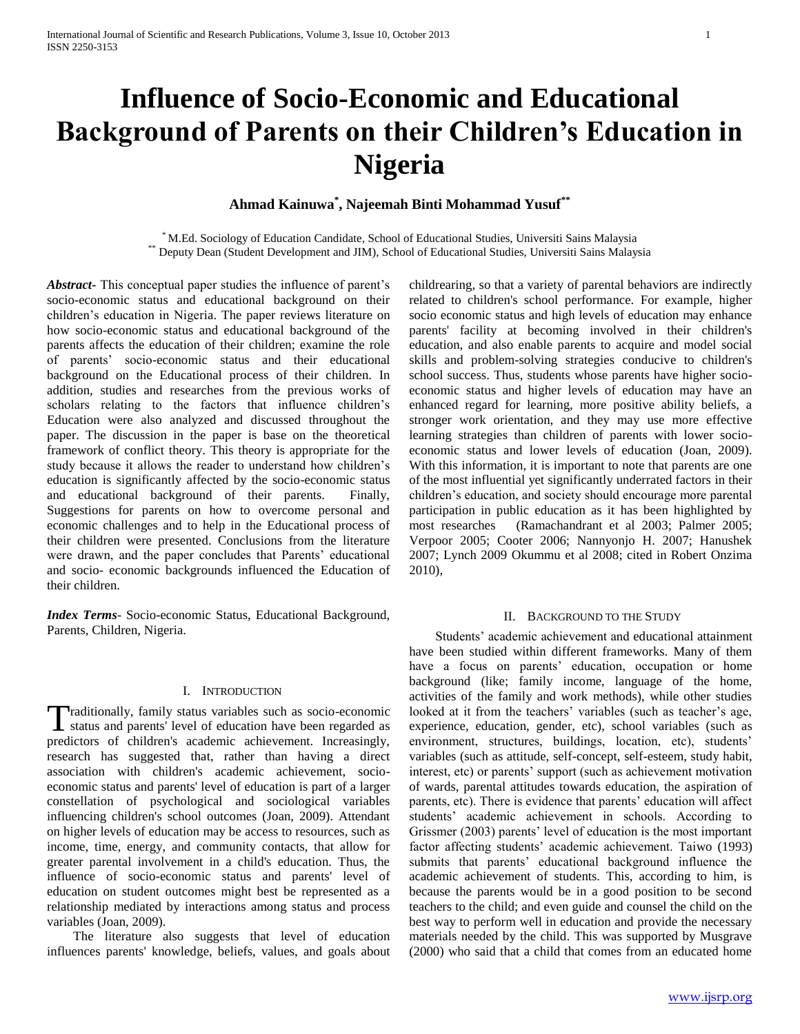# **Influence of Socio-Economic and Educational Background of Parents on their Children's Education in Nigeria**

**Ahmad Kainuwa\* , Najeemah Binti Mohammad Yusuf\*\***

\* M.Ed. Sociology of Education Candidate, School of Educational Studies, Universiti Sains Malaysia \*\* Deputy Dean (Student Development and JIM), School of Educational Studies, Universiti Sains Malaysia

*Abstract***-** This conceptual paper studies the influence of parent"s socio-economic status and educational background on their children"s education in Nigeria. The paper reviews literature on how socio-economic status and educational background of the parents affects the education of their children; examine the role of parents" socio-economic status and their educational background on the Educational process of their children. In addition, studies and researches from the previous works of scholars relating to the factors that influence children's Education were also analyzed and discussed throughout the paper. The discussion in the paper is base on the theoretical framework of conflict theory. This theory is appropriate for the study because it allows the reader to understand how children"s education is significantly affected by the socio-economic status and educational background of their parents. Finally, Suggestions for parents on how to overcome personal and economic challenges and to help in the Educational process of their children were presented. Conclusions from the literature were drawn, and the paper concludes that Parents' educational and socio- economic backgrounds influenced the Education of their children.

*Index Terms*- Socio-economic Status, Educational Background, Parents, Children, Nigeria.

# I. INTRODUCTION

raditionally, family status variables such as socio-economic Traditionally, family status variables such as socio-economic<br>status and parents' level of education have been regarded as predictors of children's academic achievement. Increasingly, research has suggested that, rather than having a direct association with children's academic achievement, socioeconomic status and parents' level of education is part of a larger constellation of psychological and sociological variables influencing children's school outcomes (Joan, 2009). Attendant on higher levels of education may be access to resources, such as income, time, energy, and community contacts, that allow for greater parental involvement in a child's education. Thus, the influence of socio-economic status and parents' level of education on student outcomes might best be represented as a relationship mediated by interactions among status and process variables (Joan, 2009).

 The literature also suggests that level of education influences parents' knowledge, beliefs, values, and goals about childrearing, so that a variety of parental behaviors are indirectly related to children's school performance. For example, higher socio economic status and high levels of education may enhance parents' facility at becoming involved in their children's education, and also enable parents to acquire and model social skills and problem-solving strategies conducive to children's school success. Thus, students whose parents have higher socioeconomic status and higher levels of education may have an enhanced regard for learning, more positive ability beliefs, a stronger work orientation, and they may use more effective learning strategies than children of parents with lower socioeconomic status and lower levels of education (Joan, 2009). With this information, it is important to note that parents are one of the most influential yet significantly underrated factors in their children"s education, and society should encourage more parental participation in public education as it has been highlighted by most researches (Ramachandrant et al 2003; Palmer 2005; Verpoor 2005; Cooter 2006; Nannyonjo H. 2007; Hanushek 2007; Lynch 2009 Okummu et al 2008; cited in Robert Onzima 2010),

#### II. BACKGROUND TO THE STUDY

 Students" academic achievement and educational attainment have been studied within different frameworks. Many of them have a focus on parents' education, occupation or home background (like; family income, language of the home, activities of the family and work methods), while other studies looked at it from the teachers' variables (such as teacher's age, experience, education, gender, etc), school variables (such as environment, structures, buildings, location, etc), students' variables (such as attitude, self-concept, self-esteem, study habit, interest, etc) or parents' support (such as achievement motivation of wards, parental attitudes towards education, the aspiration of parents, etc). There is evidence that parents' education will affect students" academic achievement in schools. According to Grissmer (2003) parents' level of education is the most important factor affecting students' academic achievement. Taiwo (1993) submits that parents" educational background influence the academic achievement of students. This, according to him, is because the parents would be in a good position to be second teachers to the child; and even guide and counsel the child on the best way to perform well in education and provide the necessary materials needed by the child. This was supported by Musgrave (2000) who said that a child that comes from an educated home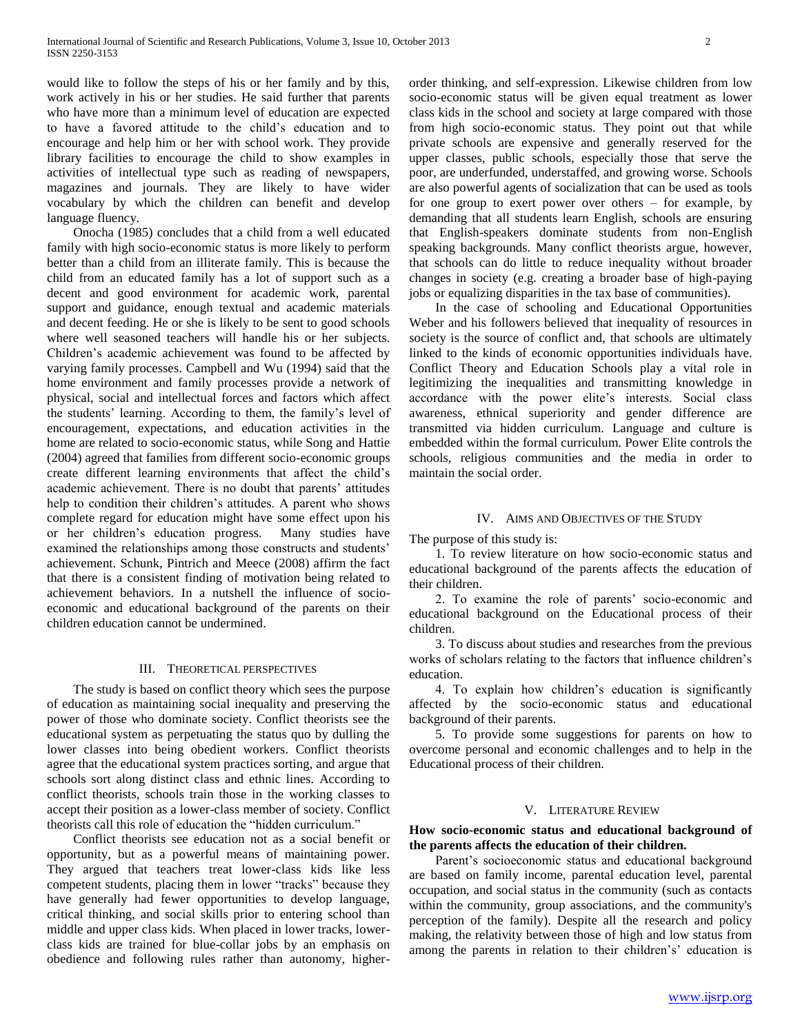would like to follow the steps of his or her family and by this, work actively in his or her studies. He said further that parents who have more than a minimum level of education are expected to have a favored attitude to the child"s education and to encourage and help him or her with school work. They provide library facilities to encourage the child to show examples in activities of intellectual type such as reading of newspapers, magazines and journals. They are likely to have wider vocabulary by which the children can benefit and develop language fluency.

 Onocha (1985) concludes that a child from a well educated family with high socio-economic status is more likely to perform better than a child from an illiterate family. This is because the child from an educated family has a lot of support such as a decent and good environment for academic work, parental support and guidance, enough textual and academic materials and decent feeding. He or she is likely to be sent to good schools where well seasoned teachers will handle his or her subjects. Children"s academic achievement was found to be affected by varying family processes. Campbell and Wu (1994) said that the home environment and family processes provide a network of physical, social and intellectual forces and factors which affect the students" learning. According to them, the family"s level of encouragement, expectations, and education activities in the home are related to socio-economic status, while Song and Hattie (2004) agreed that families from different socio-economic groups create different learning environments that affect the child"s academic achievement. There is no doubt that parents' attitudes help to condition their children's attitudes. A parent who shows complete regard for education might have some effect upon his or her children"s education progress. Many studies have examined the relationships among those constructs and students' achievement. Schunk, Pintrich and Meece (2008) affirm the fact that there is a consistent finding of motivation being related to achievement behaviors. In a nutshell the influence of socioeconomic and educational background of the parents on their children education cannot be undermined.

# III. THEORETICAL PERSPECTIVES

 The study is based on conflict theory which sees the purpose of education as maintaining social inequality and preserving the power of those who dominate society. Conflict theorists see the educational system as perpetuating the status quo by dulling the lower classes into being obedient workers. Conflict theorists agree that the educational system practices sorting, and argue that schools sort along distinct class and ethnic lines. According to conflict theorists, schools train those in the working classes to accept their position as a lower-class member of society. Conflict theorists call this role of education the "hidden curriculum."

 Conflict theorists see education not as a social benefit or opportunity, but as a powerful means of maintaining power. They argued that teachers treat lower-class kids like less competent students, placing them in lower "tracks" because they have generally had fewer opportunities to develop language, critical thinking, and social skills prior to entering school than middle and upper class kids. When placed in lower tracks, lowerclass kids are trained for blue-collar jobs by an emphasis on obedience and following rules rather than autonomy, higherorder thinking, and self-expression. Likewise children from low socio-economic status will be given equal treatment as lower class kids in the school and society at large compared with those from high socio-economic status. They point out that while private schools are expensive and generally reserved for the upper classes, public schools, especially those that serve the poor, are underfunded, understaffed, and growing worse. Schools are also powerful agents of socialization that can be used as tools for one group to exert power over others – for example, by demanding that all students learn English, schools are ensuring that English-speakers dominate students from non-English speaking backgrounds. Many conflict theorists argue, however, that schools can do little to reduce inequality without broader changes in society (e.g. creating a broader base of high-paying jobs or equalizing disparities in the tax base of communities).

 In the case of schooling and Educational Opportunities Weber and his followers believed that inequality of resources in society is the source of conflict and, that schools are ultimately linked to the kinds of economic opportunities individuals have. Conflict Theory and Education Schools play a vital role in legitimizing the inequalities and transmitting knowledge in accordance with the power elite"s interests. Social class awareness, ethnical superiority and gender difference are transmitted via hidden curriculum. Language and culture is embedded within the formal curriculum. Power Elite controls the schools, religious communities and the media in order to maintain the social order.

### IV. AIMS AND OBJECTIVES OF THE STUDY

The purpose of this study is:

 1. To review literature on how socio-economic status and educational background of the parents affects the education of their children.

 2. To examine the role of parents" socio-economic and educational background on the Educational process of their children.

 3. To discuss about studies and researches from the previous works of scholars relating to the factors that influence children"s education.

 4. To explain how children"s education is significantly affected by the socio-economic status and educational background of their parents.

 5. To provide some suggestions for parents on how to overcome personal and economic challenges and to help in the Educational process of their children.

#### V. LITERATURE REVIEW

### **How socio-economic status and educational background of the parents affects the education of their children.**

Parent's socioeconomic status and educational background are based on family income, parental education level, parental occupation, and social status in the community (such as contacts within the community, group associations, and the community's perception of the family). Despite all the research and policy making, the relativity between those of high and low status from among the parents in relation to their children's' education is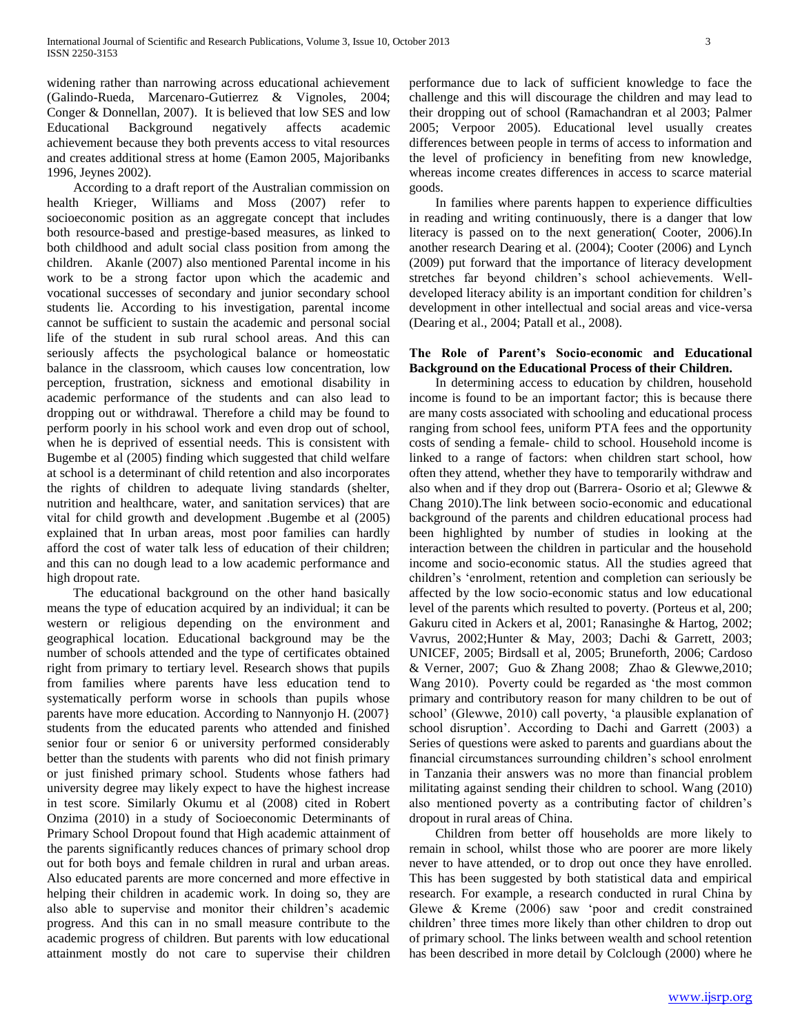widening rather than narrowing across educational achievement (Galindo-Rueda, Marcenaro-Gutierrez & Vignoles, 2004; Conger & Donnellan, 2007). It is believed that low SES and low Educational Background negatively affects academic achievement because they both prevents access to vital resources and creates additional stress at home (Eamon 2005, Majoribanks 1996, Jeynes 2002).

 According to a draft report of the Australian commission on health Krieger, Williams and Moss (2007) refer to socioeconomic position as an aggregate concept that includes both resource-based and prestige-based measures, as linked to both childhood and adult social class position from among the children. Akanle (2007) also mentioned Parental income in his work to be a strong factor upon which the academic and vocational successes of secondary and junior secondary school students lie. According to his investigation, parental income cannot be sufficient to sustain the academic and personal social life of the student in sub rural school areas. And this can seriously affects the psychological balance or homeostatic balance in the classroom, which causes low concentration, low perception, frustration, sickness and emotional disability in academic performance of the students and can also lead to dropping out or withdrawal. Therefore a child may be found to perform poorly in his school work and even drop out of school, when he is deprived of essential needs. This is consistent with Bugembe et al (2005) finding which suggested that child welfare at school is a determinant of child retention and also incorporates the rights of children to adequate living standards (shelter, nutrition and healthcare, water, and sanitation services) that are vital for child growth and development .Bugembe et al (2005) explained that In urban areas, most poor families can hardly afford the cost of water talk less of education of their children; and this can no dough lead to a low academic performance and high dropout rate.

 The educational background on the other hand basically means the type of education acquired by an individual; it can be western or religious depending on the environment and geographical location. Educational background may be the number of schools attended and the type of certificates obtained right from primary to tertiary level. Research shows that pupils from families where parents have less education tend to systematically perform worse in schools than pupils whose parents have more education. According to Nannyonjo H. (2007} students from the educated parents who attended and finished senior four or senior 6 or university performed considerably better than the students with parents who did not finish primary or just finished primary school. Students whose fathers had university degree may likely expect to have the highest increase in test score. Similarly Okumu et al (2008) cited in Robert Onzima (2010) in a study of Socioeconomic Determinants of Primary School Dropout found that High academic attainment of the parents significantly reduces chances of primary school drop out for both boys and female children in rural and urban areas. Also educated parents are more concerned and more effective in helping their children in academic work. In doing so, they are also able to supervise and monitor their children"s academic progress. And this can in no small measure contribute to the academic progress of children. But parents with low educational attainment mostly do not care to supervise their children performance due to lack of sufficient knowledge to face the challenge and this will discourage the children and may lead to their dropping out of school (Ramachandran et al 2003; Palmer 2005; Verpoor 2005). Educational level usually creates differences between people in terms of access to information and the level of proficiency in benefiting from new knowledge, whereas income creates differences in access to scarce material goods.

 In families where parents happen to experience difficulties in reading and writing continuously, there is a danger that low literacy is passed on to the next generation( Cooter, 2006).In another research Dearing et al. (2004); Cooter (2006) and Lynch (2009) put forward that the importance of literacy development stretches far beyond children"s school achievements. Welldeveloped literacy ability is an important condition for children's development in other intellectual and social areas and vice-versa (Dearing et al., 2004; Patall et al., 2008).

# **The Role of Parent's Socio-economic and Educational Background on the Educational Process of their Children.**

 In determining access to education by children, household income is found to be an important factor; this is because there are many costs associated with schooling and educational process ranging from school fees, uniform PTA fees and the opportunity costs of sending a female- child to school. Household income is linked to a range of factors: when children start school, how often they attend, whether they have to temporarily withdraw and also when and if they drop out (Barrera- Osorio et al; Glewwe & Chang 2010).The link between socio-economic and educational background of the parents and children educational process had been highlighted by number of studies in looking at the interaction between the children in particular and the household income and socio-economic status. All the studies agreed that children"s "enrolment, retention and completion can seriously be affected by the low socio-economic status and low educational level of the parents which resulted to poverty. (Porteus et al, 200; Gakuru cited in Ackers et al, 2001; Ranasinghe & Hartog, 2002; Vavrus, 2002;Hunter & May, 2003; Dachi & Garrett, 2003; UNICEF, 2005; Birdsall et al, 2005; Bruneforth, 2006; Cardoso & Verner, 2007; Guo & Zhang 2008; Zhao & Glewwe,2010; Wang 2010). Poverty could be regarded as "the most common primary and contributory reason for many children to be out of school" (Glewwe, 2010) call poverty, "a plausible explanation of school disruption". According to Dachi and Garrett (2003) a Series of questions were asked to parents and guardians about the financial circumstances surrounding children"s school enrolment in Tanzania their answers was no more than financial problem militating against sending their children to school. Wang (2010) also mentioned poverty as a contributing factor of children"s dropout in rural areas of China.

 Children from better off households are more likely to remain in school, whilst those who are poorer are more likely never to have attended, or to drop out once they have enrolled. This has been suggested by both statistical data and empirical research. For example, a research conducted in rural China by Glewe & Kreme (2006) saw "poor and credit constrained children" three times more likely than other children to drop out of primary school. The links between wealth and school retention has been described in more detail by Colclough (2000) where he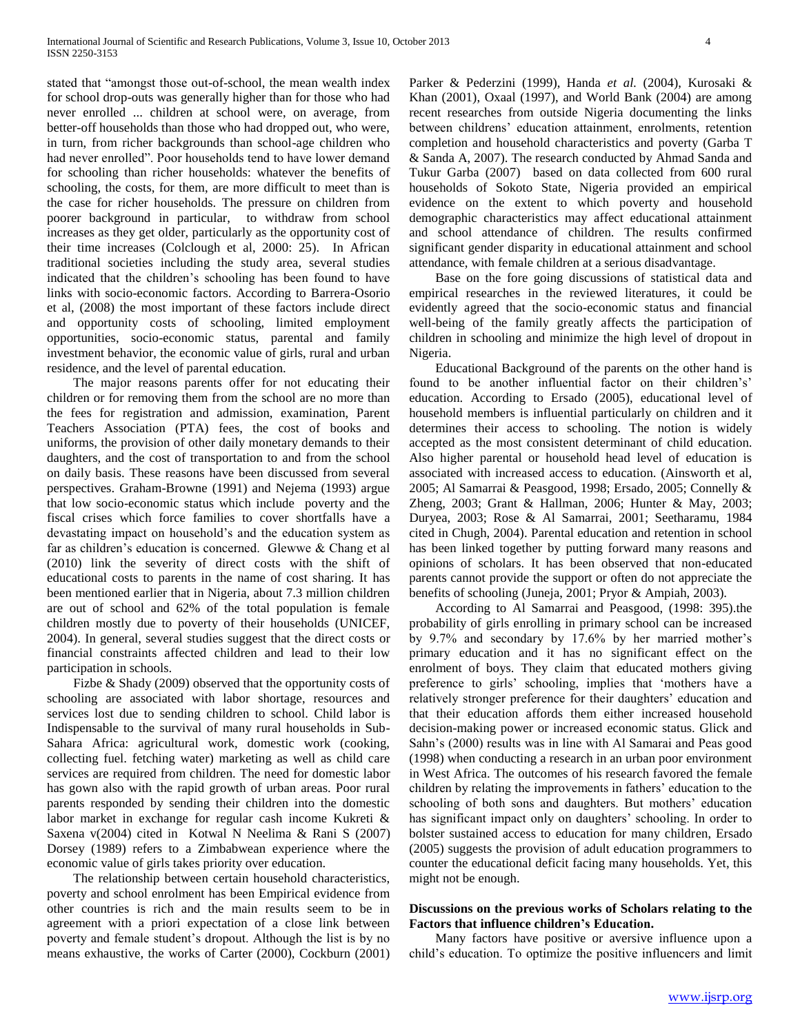stated that "amongst those out-of-school, the mean wealth index for school drop-outs was generally higher than for those who had never enrolled ... children at school were, on average, from better-off households than those who had dropped out, who were, in turn, from richer backgrounds than school-age children who had never enrolled". Poor households tend to have lower demand for schooling than richer households: whatever the benefits of schooling, the costs, for them, are more difficult to meet than is the case for richer households. The pressure on children from poorer background in particular, to withdraw from school increases as they get older, particularly as the opportunity cost of their time increases (Colclough et al, 2000: 25). In African traditional societies including the study area, several studies indicated that the children's schooling has been found to have links with socio-economic factors. According to Barrera-Osorio et al, (2008) the most important of these factors include direct and opportunity costs of schooling, limited employment opportunities, socio-economic status, parental and family investment behavior, the economic value of girls, rural and urban residence, and the level of parental education.

 The major reasons parents offer for not educating their children or for removing them from the school are no more than the fees for registration and admission, examination, Parent Teachers Association (PTA) fees, the cost of books and uniforms, the provision of other daily monetary demands to their daughters, and the cost of transportation to and from the school on daily basis. These reasons have been discussed from several perspectives. Graham-Browne (1991) and Nejema (1993) argue that low socio-economic status which include poverty and the fiscal crises which force families to cover shortfalls have a devastating impact on household"s and the education system as far as children's education is concerned. Glewwe  $&$  Chang et al (2010) link the severity of direct costs with the shift of educational costs to parents in the name of cost sharing. It has been mentioned earlier that in Nigeria, about 7.3 million children are out of school and 62% of the total population is female children mostly due to poverty of their households (UNICEF, 2004). In general, several studies suggest that the direct costs or financial constraints affected children and lead to their low participation in schools.

 Fizbe & Shady (2009) observed that the opportunity costs of schooling are associated with labor shortage, resources and services lost due to sending children to school. Child labor is Indispensable to the survival of many rural households in Sub-Sahara Africa: agricultural work, domestic work (cooking, collecting fuel. fetching water) marketing as well as child care services are required from children. The need for domestic labor has gown also with the rapid growth of urban areas. Poor rural parents responded by sending their children into the domestic labor market in exchange for regular cash income Kukreti & Saxena v(2004) cited in Kotwal N Neelima & Rani S (2007) Dorsey (1989) refers to a Zimbabwean experience where the economic value of girls takes priority over education.

 The relationship between certain household characteristics, poverty and school enrolment has been Empirical evidence from other countries is rich and the main results seem to be in agreement with a priori expectation of a close link between poverty and female student"s dropout. Although the list is by no means exhaustive, the works of Carter (2000), Cockburn (2001)

Parker & Pederzini (1999), Handa *et al.* (2004), Kurosaki & Khan (2001), Oxaal (1997), and World Bank (2004) are among recent researches from outside Nigeria documenting the links between childrens" education attainment, enrolments, retention completion and household characteristics and poverty (Garba T & Sanda A, 2007). The research conducted by Ahmad Sanda and Tukur Garba (2007) based on data collected from 600 rural households of Sokoto State, Nigeria provided an empirical evidence on the extent to which poverty and household demographic characteristics may affect educational attainment and school attendance of children. The results confirmed significant gender disparity in educational attainment and school attendance, with female children at a serious disadvantage.

 Base on the fore going discussions of statistical data and empirical researches in the reviewed literatures, it could be evidently agreed that the socio-economic status and financial well-being of the family greatly affects the participation of children in schooling and minimize the high level of dropout in Nigeria.

 Educational Background of the parents on the other hand is found to be another influential factor on their children's' education. According to Ersado (2005), educational level of household members is influential particularly on children and it determines their access to schooling. The notion is widely accepted as the most consistent determinant of child education. Also higher parental or household head level of education is associated with increased access to education. (Ainsworth et al, 2005; Al Samarrai & Peasgood, 1998; Ersado, 2005; Connelly & Zheng, 2003; Grant & Hallman, 2006; Hunter & May, 2003; Duryea, 2003; Rose & Al Samarrai, 2001; Seetharamu, 1984 cited in Chugh, 2004). Parental education and retention in school has been linked together by putting forward many reasons and opinions of scholars. It has been observed that non-educated parents cannot provide the support or often do not appreciate the benefits of schooling (Juneja, 2001; Pryor & Ampiah, 2003).

 According to Al Samarrai and Peasgood, (1998: 395).the probability of girls enrolling in primary school can be increased by 9.7% and secondary by 17.6% by her married mother"s primary education and it has no significant effect on the enrolment of boys. They claim that educated mothers giving preference to girls" schooling, implies that "mothers have a relatively stronger preference for their daughters' education and that their education affords them either increased household decision-making power or increased economic status. Glick and Sahn"s (2000) results was in line with Al Samarai and Peas good (1998) when conducting a research in an urban poor environment in West Africa. The outcomes of his research favored the female children by relating the improvements in fathers' education to the schooling of both sons and daughters. But mothers' education has significant impact only on daughters' schooling. In order to bolster sustained access to education for many children, Ersado (2005) suggests the provision of adult education programmers to counter the educational deficit facing many households. Yet, this might not be enough.

# **Discussions on the previous works of Scholars relating to the Factors that influence children's Education.**

 Many factors have positive or aversive influence upon a child"s education. To optimize the positive influencers and limit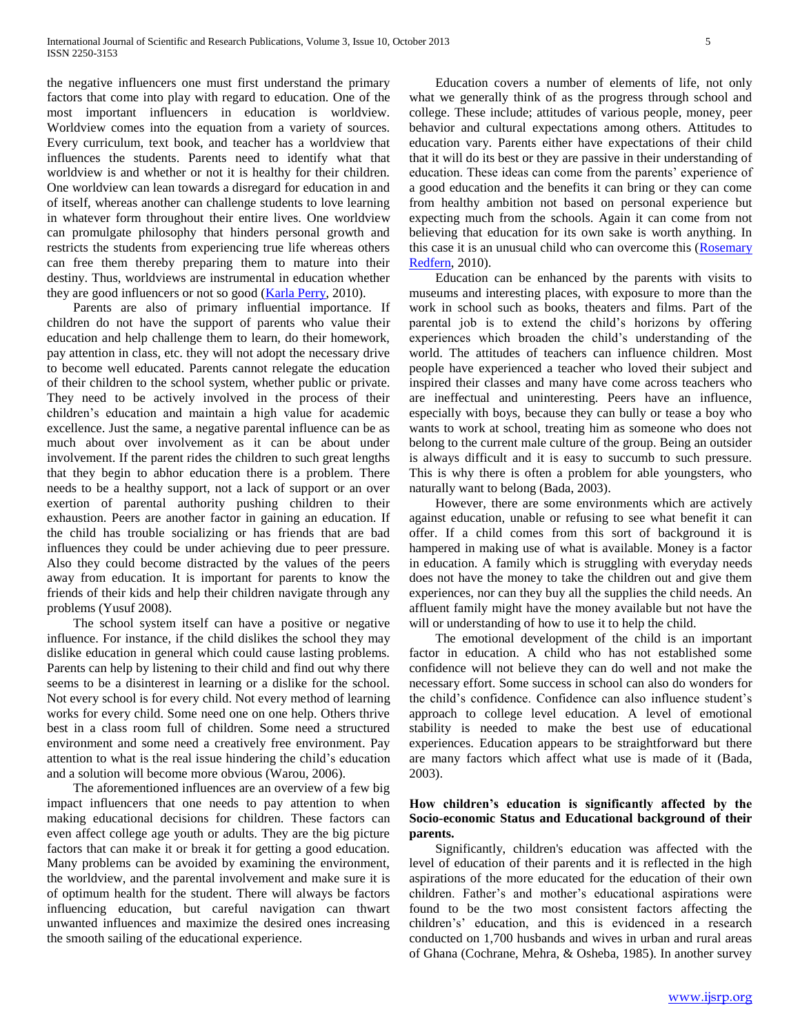the negative influencers one must first understand the primary factors that come into play with regard to education. One of the most important influencers in education is worldview. Worldview comes into the equation from a variety of sources. Every curriculum, text book, and teacher has a worldview that influences the students. Parents need to identify what that worldview is and whether or not it is healthy for their children. One worldview can lean towards a disregard for education in and of itself, whereas another can challenge students to love learning in whatever form throughout their entire lives. One worldview can promulgate philosophy that hinders personal growth and restricts the students from experiencing true life whereas others can free them thereby preparing them to mature into their destiny. Thus, worldviews are instrumental in education whether they are good influencers or not so good [\(Karla Perry,](http://www.helium.com/users/474798) 2010).

 Parents are also of primary influential importance. If children do not have the support of parents who value their education and help challenge them to learn, do their homework, pay attention in class, etc. they will not adopt the necessary drive to become well educated. Parents cannot relegate the education of their children to the school system, whether public or private. They need to be actively involved in the process of their children"s education and maintain a high value for academic excellence. Just the same, a negative parental influence can be as much about over involvement as it can be about under involvement. If the parent rides the children to such great lengths that they begin to abhor education there is a problem. There needs to be a healthy support, not a lack of support or an over exertion of parental authority pushing children to their exhaustion. Peers are another factor in gaining an education. If the child has trouble socializing or has friends that are bad influences they could be under achieving due to peer pressure. Also they could become distracted by the values of the peers away from education. It is important for parents to know the friends of their kids and help their children navigate through any problems (Yusuf 2008).

 The school system itself can have a positive or negative influence. For instance, if the child dislikes the school they may dislike education in general which could cause lasting problems. Parents can help by listening to their child and find out why there seems to be a disinterest in learning or a dislike for the school. Not every school is for every child. Not every method of learning works for every child. Some need one on one help. Others thrive best in a class room full of children. Some need a structured environment and some need a creatively free environment. Pay attention to what is the real issue hindering the child"s education and a solution will become more obvious (Warou, 2006).

 The aforementioned influences are an overview of a few big impact influencers that one needs to pay attention to when making educational decisions for children. These factors can even affect college age youth or adults. They are the big picture factors that can make it or break it for getting a good education. Many problems can be avoided by examining the environment, the worldview, and the parental involvement and make sure it is of optimum health for the student. There will always be factors influencing education, but careful navigation can thwart unwanted influences and maximize the desired ones increasing the smooth sailing of the educational experience.

 Education covers a number of elements of life, not only what we generally think of as the progress through school and college. These include; attitudes of various people, money, peer behavior and cultural expectations among others. Attitudes to education vary. Parents either have expectations of their child that it will do its best or they are passive in their understanding of education. These ideas can come from the parents' experience of a good education and the benefits it can bring or they can come from healthy ambition not based on personal experience but expecting much from the schools. Again it can come from not believing that education for its own sake is worth anything. In this case it is an unusual child who can overcome this [\(Rosemary](http://www.helium.com/users/404869)  [Redfern,](http://www.helium.com/users/404869) 2010).

 Education can be enhanced by the parents with visits to museums and interesting places, with exposure to more than the work in school such as books, theaters and films. Part of the parental job is to extend the child"s horizons by offering experiences which broaden the child"s understanding of the world. The attitudes of teachers can influence children. Most people have experienced a teacher who loved their subject and inspired their classes and many have come across teachers who are ineffectual and uninteresting. Peers have an influence, especially with boys, because they can bully or tease a boy who wants to work at school, treating him as someone who does not belong to the current male culture of the group. Being an outsider is always difficult and it is easy to succumb to such pressure. This is why there is often a problem for able youngsters, who naturally want to belong (Bada, 2003).

 However, there are some environments which are actively against education, unable or refusing to see what benefit it can offer. If a child comes from this sort of background it is hampered in making use of what is available. Money is a factor in education. A family which is struggling with everyday needs does not have the money to take the children out and give them experiences, nor can they buy all the supplies the child needs. An affluent family might have the money available but not have the will or understanding of how to use it to help the child.

 The emotional development of the child is an important factor in education. A child who has not established some confidence will not believe they can do well and not make the necessary effort. Some success in school can also do wonders for the child"s confidence. Confidence can also influence student"s approach to college level education. A level of emotional stability is needed to make the best use of educational experiences. Education appears to be straightforward but there are many factors which affect what use is made of it (Bada, 2003).

# **How children's education is significantly affected by the Socio-economic Status and Educational background of their parents.**

 Significantly, children's education was affected with the level of education of their parents and it is reflected in the high aspirations of the more educated for the education of their own children. Father"s and mother"s educational aspirations were found to be the two most consistent factors affecting the children"s" education, and this is evidenced in a research conducted on 1,700 husbands and wives in urban and rural areas of Ghana (Cochrane, Mehra, & Osheba, 1985). In another survey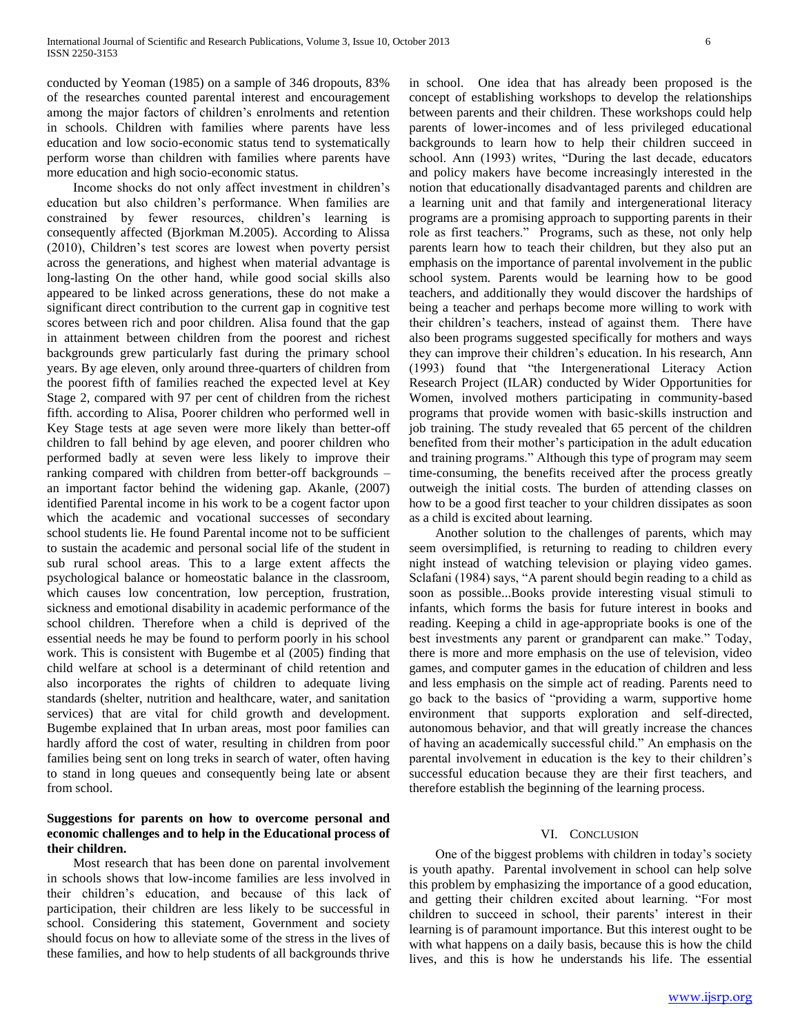conducted by Yeoman (1985) on a sample of 346 dropouts, 83% of the researches counted parental interest and encouragement among the major factors of children"s enrolments and retention in schools. Children with families where parents have less education and low socio-economic status tend to systematically perform worse than children with families where parents have more education and high socio-economic status.

 Income shocks do not only affect investment in children"s education but also children"s performance. When families are constrained by fewer resources, children"s learning is consequently affected (Bjorkman M.2005). According to Alissa (2010), Children"s test scores are lowest when poverty persist across the generations, and highest when material advantage is long-lasting On the other hand, while good social skills also appeared to be linked across generations, these do not make a significant direct contribution to the current gap in cognitive test scores between rich and poor children. Alisa found that the gap in attainment between children from the poorest and richest backgrounds grew particularly fast during the primary school years. By age eleven, only around three-quarters of children from the poorest fifth of families reached the expected level at Key Stage 2, compared with 97 per cent of children from the richest fifth. according to Alisa, Poorer children who performed well in Key Stage tests at age seven were more likely than better-off children to fall behind by age eleven, and poorer children who performed badly at seven were less likely to improve their ranking compared with children from better-off backgrounds – an important factor behind the widening gap. Akanle, (2007) identified Parental income in his work to be a cogent factor upon which the academic and vocational successes of secondary school students lie. He found Parental income not to be sufficient to sustain the academic and personal social life of the student in sub rural school areas. This to a large extent affects the psychological balance or homeostatic balance in the classroom, which causes low concentration, low perception, frustration, sickness and emotional disability in academic performance of the school children. Therefore when a child is deprived of the essential needs he may be found to perform poorly in his school work. This is consistent with Bugembe et al (2005) finding that child welfare at school is a determinant of child retention and also incorporates the rights of children to adequate living standards (shelter, nutrition and healthcare, water, and sanitation services) that are vital for child growth and development. Bugembe explained that In urban areas, most poor families can hardly afford the cost of water, resulting in children from poor families being sent on long treks in search of water, often having to stand in long queues and consequently being late or absent from school.

# **Suggestions for parents on how to overcome personal and economic challenges and to help in the Educational process of their children.**

 Most research that has been done on parental involvement in schools shows that low-income families are less involved in their children"s education, and because of this lack of participation, their children are less likely to be successful in school. Considering this statement, Government and society should focus on how to alleviate some of the stress in the lives of these families, and how to help students of all backgrounds thrive in school. One idea that has already been proposed is the concept of establishing workshops to develop the relationships between parents and their children. These workshops could help parents of lower-incomes and of less privileged educational backgrounds to learn how to help their children succeed in school. Ann (1993) writes, "During the last decade, educators and policy makers have become increasingly interested in the notion that educationally disadvantaged parents and children are a learning unit and that family and intergenerational literacy programs are a promising approach to supporting parents in their role as first teachers." Programs, such as these, not only help parents learn how to teach their children, but they also put an emphasis on the importance of parental involvement in the public school system. Parents would be learning how to be good teachers, and additionally they would discover the hardships of being a teacher and perhaps become more willing to work with their children"s teachers, instead of against them. There have also been programs suggested specifically for mothers and ways they can improve their children"s education. In his research, Ann (1993) found that "the Intergenerational Literacy Action Research Project (ILAR) conducted by Wider Opportunities for Women, involved mothers participating in community-based programs that provide women with basic-skills instruction and job training. The study revealed that 65 percent of the children benefited from their mother"s participation in the adult education and training programs." Although this type of program may seem time-consuming, the benefits received after the process greatly outweigh the initial costs. The burden of attending classes on how to be a good first teacher to your children dissipates as soon as a child is excited about learning.

 Another solution to the challenges of parents, which may seem oversimplified, is returning to reading to children every night instead of watching television or playing video games. Sclafani (1984) says, "A parent should begin reading to a child as soon as possible...Books provide interesting visual stimuli to infants, which forms the basis for future interest in books and reading. Keeping a child in age-appropriate books is one of the best investments any parent or grandparent can make." Today, there is more and more emphasis on the use of television, video games, and computer games in the education of children and less and less emphasis on the simple act of reading. Parents need to go back to the basics of "providing a warm, supportive home environment that supports exploration and self-directed, autonomous behavior, and that will greatly increase the chances of having an academically successful child." An emphasis on the parental involvement in education is the key to their children"s successful education because they are their first teachers, and therefore establish the beginning of the learning process.

# VI. CONCLUSION

 One of the biggest problems with children in today"s society is youth apathy. Parental involvement in school can help solve this problem by emphasizing the importance of a good education, and getting their children excited about learning. "For most children to succeed in school, their parents' interest in their learning is of paramount importance. But this interest ought to be with what happens on a daily basis, because this is how the child lives, and this is how he understands his life. The essential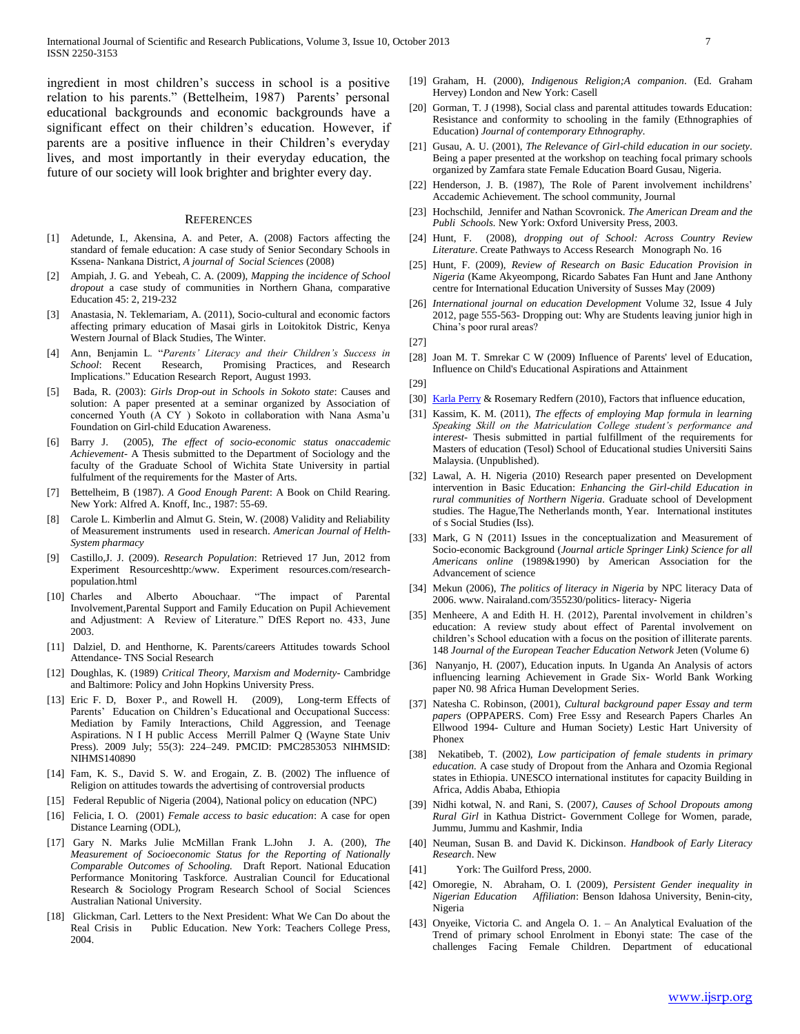ingredient in most children"s success in school is a positive relation to his parents." (Bettelheim, 1987) Parents' personal educational backgrounds and economic backgrounds have a significant effect on their children's education. However, if parents are a positive influence in their Children"s everyday lives, and most importantly in their everyday education, the future of our society will look brighter and brighter every day.

#### **REFERENCES**

- [1] Adetunde, I., Akensina, A. and Peter, A. (2008) Factors affecting the standard of female education: A case study of Senior Secondary Schools in Kssena- Nankana District, *A journal of Social Sciences* (2008)
- [2] Ampiah, J. G. and Yebeah, C. A. (2009), *Mapping the incidence of School dropout* a case study of communities in Northern Ghana, comparative Education 45: 2, 219-232
- [3] Anastasia, N. Teklemariam, A. (2011), Socio-cultural and economic factors affecting primary education of Masai girls in Loitokitok Distric, Kenya Western Journal of Black Studies, The Winter.
- [4] Ann, Benjamin L. "*Parents' Literacy and their Children's Success in School*: Recent Research, Promising Practices, and Research Implications." Education Research Report, August 1993.
- [5] Bada, R. (2003): *Girls Drop-out in Schools in Sokoto state*: Causes and solution: A paper presented at a seminar organized by Association of concerned Youth (A CY ) Sokoto in collaboration with Nana Asma"u Foundation on Girl-child Education Awareness.
- [6] Barry J. (2005), *The effect of socio-economic status onaccademic Achievement*- A Thesis submitted to the Department of Sociology and the faculty of the Graduate School of Wichita State University in partial fulfulment of the requirements for the Master of Arts.
- [7] Bettelheim, B (1987). *A Good Enough Parent*: A Book on Child Rearing. New York: Alfred A. Knoff, Inc., 1987: 55-69.
- [8] Carole L. Kimberlin and Almut G. Stein, W. (2008) Validity and Reliability of Measurement instruments used in research. *American Journal of Helth-System pharmacy*
- [9] Castillo,J. J. (2009). *Research Population*: Retrieved 17 Jun, 2012 from Experiment Resourceshttp:/www. Experiment resources.com/researchpopulation.html
- [10] Charles and Alberto Abouchaar. "The impact of Parental Involvement,Parental Support and Family Education on Pupil Achievement and Adjustment: A Review of Literature." DfES Report no. 433, June 2003.
- [11] Dalziel, D. and Henthorne, K. Parents/careers Attitudes towards School Attendance- TNS Social Research
- [12] Doughlas, K. (1989) *Critical Theory, Marxism and Modernity* Cambridge and Baltimore: Policy and John Hopkins University Press.
- [13] Eric F. D, Boxer P., and Rowell H. (2009), Long-term Effects of Parents' Education on Children's Educational and Occupational Success: Mediation by Family Interactions, Child Aggression, and Teenage Aspirations. N I H public Access Merrill Palmer Q (Wayne State Univ Press). 2009 July; 55(3): 224–249. PMCID: PMC2853053 NIHMSID: NIHMS140890
- [14] Fam, K. S., David S. W. and Erogain, Z. B. (2002) The influence of Religion on attitudes towards the advertising of controversial products
- [15] Federal Republic of Nigeria (2004), National policy on education (NPC)
- [16] Felicia, I. O. (2001) *Female access to basic education*: A case for open Distance Learning (ODL),
- [17] Gary N. Marks Julie McMillan Frank L.John J. A. (200), *The Measurement of Socioeconomic Status for the Reporting of Nationally Comparable Outcomes of Schooling.* Draft Report. National Education Performance Monitoring Taskforce. Australian Council for Educational Research & Sociology Program Research School of Social Sciences Australian National University.
- [18] Glickman, Carl. Letters to the Next President: What We Can Do about the Real Crisis in Public Education. New York: Teachers College Press, 2004.
- [19] Graham, H. (2000), *Indigenous Religion;A companion*. (Ed. Graham Hervey) London and New York: Casell
- [20] Gorman, T. J (1998), Social class and parental attitudes towards Education: Resistance and conformity to schooling in the family (Ethnographies of Education) *Journal of contemporary Ethnography.*
- [21] Gusau, A. U. (2001), *The Relevance of Girl-child education in our society*. Being a paper presented at the workshop on teaching focal primary schools organized by Zamfara state Female Education Board Gusau, Nigeria.
- [22] Henderson, J. B. (1987), The Role of Parent involvement inchildrens' Accademic Achievement. The school community, Journal
- [23] Hochschild, Jennifer and Nathan Scovronick. *The American Dream and the Publi Schools.* New York: Oxford University Press, 2003.
- [24] Hunt, F. (2008), *dropping out of School: Across Country Review Literature*. Create Pathways to Access Research Monograph No. 16
- [25] Hunt, F. (2009), *Review of Research on Basic Education Provision in Nigeria* (Kame Akyeompong, Ricardo Sabates Fan Hunt and Jane Anthony centre for International Education University of Susses May (2009)
- [26] *International journal on education Development* Volume 32, Issue 4 July 2012, page 555-563- Dropping out: Why are Students leaving junior high in China"s poor rural areas?
- [27]
- [28] Joan M. T. Smrekar C W (2009) Influence of Parents' level of Education, Influence on Child's Educational Aspirations and Attainment

[29]

- [30] [Karla Perry](http://www.helium.com/users/474798/show_articles) [& Rosemary Redfern](http://www.helium.com/users/404869) (2010), Factors that influence education,
- [31] Kassim, K. M. (2011), *The effects of employing Map formula in learning Speaking Skill on the Matriculation College student's performance and interest*- Thesis submitted in partial fulfillment of the requirements for Masters of education (Tesol) School of Educational studies Universiti Sains Malaysia. (Unpublished).
- [32] Lawal, A. H. Nigeria (2010) Research paper presented on Development intervention in Basic Education: *Enhancing the Girl-child Education in rural communities of Northern Nigeria*. Graduate school of Development studies. The Hague,The Netherlands month, Year. International institutes of s Social Studies (Iss).
- [33] Mark, G N (2011) Issues in the conceptualization and Measurement of Socio-economic Background (*Journal article Springer Link) Science for all Americans online* (1989&1990) by American Association for the Advancement of science
- [34] Mekun (2006), *The politics of literacy in Nigeria* by NPC literacy Data of 2006. www. Nairaland.com/355230/politics- literacy- Nigeria
- [35] Menheere, A and Edith H. H. (2012), Parental involvement in children's education: A review study about effect of Parental involvement on children"s School education with a focus on the position of illiterate parents. 148 *Journal of the European Teacher Education Network* Jeten (Volume 6)
- [36] Nanyanjo, H. (2007), Education inputs. In Uganda An Analysis of actors influencing learning Achievement in Grade Six- World Bank Working paper N0. 98 Africa Human Development Series.
- [37] Natesha C. Robinson, (2001), *Cultural background paper Essay and term papers* (OPPAPERS. Com) Free Essy and Research Papers Charles An Ellwood 1994- Culture and Human Society) Lestic Hart University of Phonex
- [38] Nekatibeb, T. (2002), *Low participation of female students in primary education.* A case study of Dropout from the Anhara and Ozomia Regional states in Ethiopia. UNESCO international institutes for capacity Building in Africa, Addis Ababa, Ethiopia
- [39] Nidhi kotwal, N. and Rani, S. (2007*), Causes of School Dropouts among Rural Girl* in Kathua District- Government College for Women, parade, Jummu, Jummu and Kashmir, India
- [40] Neuman, Susan B. and David K. Dickinson. *Handbook of Early Literacy Research*. New
- [41] York: The Guilford Press, 2000.
- [42] Omoregie, N. Abraham, O. I. (2009), *Persistent Gender inequality in Nigerian Education Affiliation*: Benson Idahosa University, Benin-city, Nigeria
- [43] Onyeike, Victoria C. and Angela O. 1. An Analytical Evaluation of the Trend of primary school Enrolment in Ebonyi state: The case of the challenges Facing Female Children. Department of educational